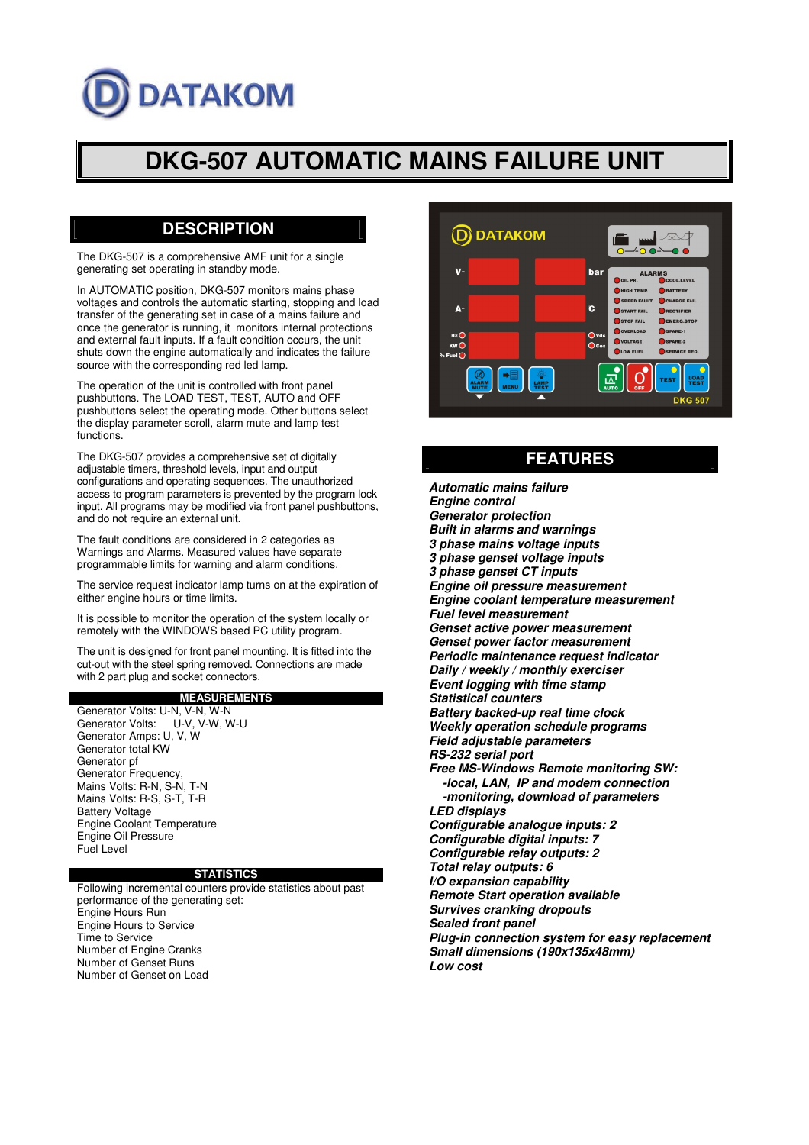# **DATAKOM**

# **DKG-507 AUTOMATIC MAINS FAILURE UNIT**

# **DESCRIPTION**

The DKG-507 is a comprehensive AMF unit for a single generating set operating in standby mode.

In AUTOMATIC position, DKG-507 monitors mains phase voltages and controls the automatic starting, stopping and load transfer of the generating set in case of a mains failure and once the generator is running, it monitors internal protections and external fault inputs. If a fault condition occurs, the unit shuts down the engine automatically and indicates the failure source with the corresponding red led lamp.

The operation of the unit is controlled with front panel pushbuttons. The LOAD TEST, TEST, AUTO and OFF pushbuttons select the operating mode. Other buttons select the display parameter scroll, alarm mute and lamp test functions.

The DKG-507 provides a comprehensive set of digitally adjustable timers, threshold levels, input and output configurations and operating sequences. The unauthorized access to program parameters is prevented by the program lock input. All programs may be modified via front panel pushbuttons, and do not require an external unit.

The fault conditions are considered in 2 categories as Warnings and Alarms. Measured values have separate programmable limits for warning and alarm conditions.

The service request indicator lamp turns on at the expiration of either engine hours or time limits.

It is possible to monitor the operation of the system locally or remotely with the WINDOWS based PC utility program.

The unit is designed for front panel mounting. It is fitted into the cut-out with the steel spring removed. Connections are made with 2 part plug and socket connectors.

#### **MEASUREMENTS**

Generator Volts: U-N, V-N, W-N Generator Volts: U-V, V-W, W-U Generator Amps: U, V, W Generator total KW Generator pf Generator Frequency, Mains Volts: R-N, S-N, T-N Mains Volts: R-S, S-T, T-R Battery Voltage Engine Coolant Temperature Engine Oil Pressure Fuel Level

#### **STATISTICS**

Following incremental counters provide statistics about past performance of the generating set: Engine Hours Run Engine Hours to Service Time to Service Number of Engine Cranks Number of Genset Runs Number of Genset on Load



## **FEATURES**

*Automatic mains failure Engine control Generator protection Built in alarms and warnings 3 phase mains voltage inputs 3 phase genset voltage inputs 3 phase genset CT inputs Engine oil pressure measurement Engine coolant temperature measurement Fuel level measurement Genset active power measurement Genset power factor measurement Periodic maintenance request indicator Daily / weekly / monthly exerciser Event logging with time stamp Statistical counters Battery backed-up real time clock Weekly operation schedule programs Field adjustable parameters RS-232 serial port Free MS-Windows Remote monitoring SW: -local, LAN, IP and modem connection -monitoring, download of parameters LED displays Configurable analogue inputs: 2 Configurable digital inputs: 7 Configurable relay outputs: 2 Total relay outputs: 6 I/O expansion capability Remote Start operation available Survives cranking dropouts Sealed front panel Plug-in connection system for easy replacement Small dimensions (190x135x48mm) Low cost*